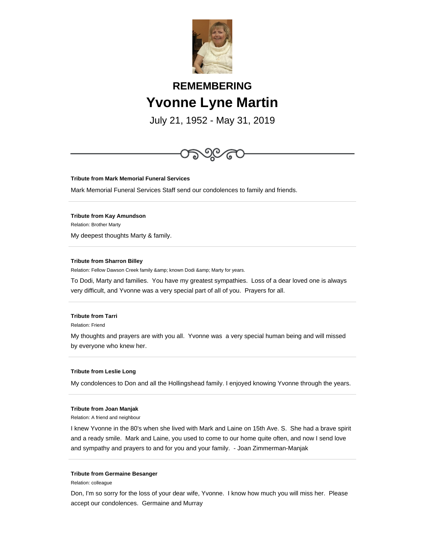

# **REMEMBERING Yvonne Lyne Martin**

July 21, 1952 - May 31, 2019



**Tribute from Mark Memorial Funeral Services**

Mark Memorial Funeral Services Staff send our condolences to family and friends.

**Tribute from Kay Amundson** Relation: Brother Marty My deepest thoughts Marty & family.

# **Tribute from Sharron Billey**

Relation: Fellow Dawson Creek family & amp; known Dodi & amp; Marty for years.

To Dodi, Marty and families. You have my greatest sympathies. Loss of a dear loved one is always very difficult, and Yvonne was a very special part of all of you. Prayers for all.

# **Tribute from Tarri**

Relation: Friend

My thoughts and prayers are with you all. Yvonne was a very special human being and will missed by everyone who knew her.

#### **Tribute from Leslie Long**

My condolences to Don and all the Hollingshead family. I enjoyed knowing Yvonne through the years.

## **Tribute from Joan Manjak**

Relation: A friend and neighbour

I knew Yvonne in the 80's when she lived with Mark and Laine on 15th Ave. S. She had a brave spirit and a ready smile. Mark and Laine, you used to come to our home quite often, and now I send love and sympathy and prayers to and for you and your family. - Joan Zimmerman-Manjak

### **Tribute from Germaine Besanger**

Relation: colleague

Don, I'm so sorry for the loss of your dear wife, Yvonne. I know how much you will miss her. Please accept our condolences. Germaine and Murray